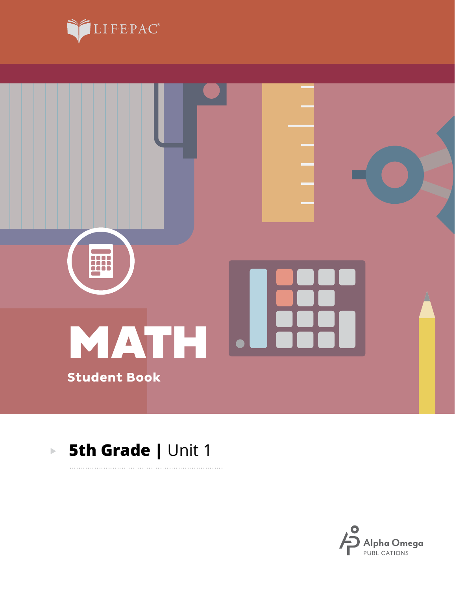



. . . . . . . . . . .

#### **5th Grade | Unit 1**  $\blacktriangleright$

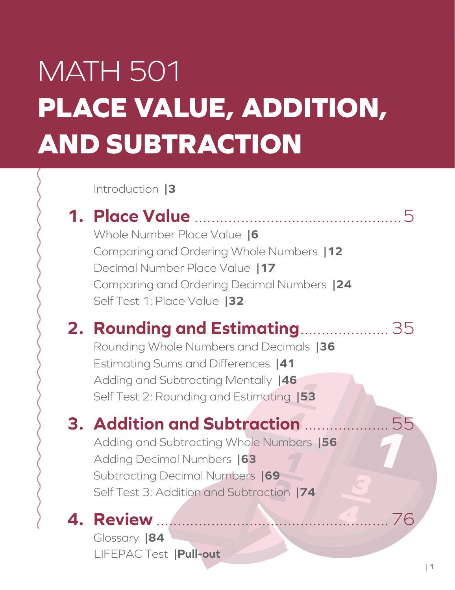# MATH 501 **PLACE VALUE, ADDITION, AND SUBTRACTION**

Introduction **|3**

# **1. Place Value** .................................................5

Whole Number Place Value **|6** Comparing and Ordering Whole Numbers **|12** Decimal Number Place Value **|17** Comparing and Ordering Decimal Numbers **|24** Self Test 1: Place Value **|32**

# **2. Rounding and Estimating**.....................35

**\_1** Self Test 2: Rounding and Estimating **|53** Rounding Whole Numbers and Decimals **|36** Estimating Sums and Differences **|41** Adding and Subtracting Mentally **|46**

# **4 3. Addition and Subtraction** ....................55

Adding and Subtracting Whole Numbers **|56** Adding Decimal Numbers **|63** Subtracting Decimal Numbers **|69** Self Test 3: Addition and Subtraction **|74**

# **4. Review** .......................................................76

LIFEPAC Test **|Pull-out** Glossary **|84**

**4**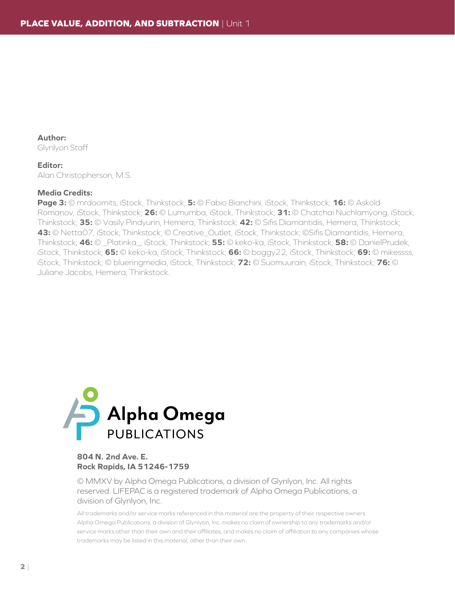**Author:** Glynlyon Staff

#### **Editor:**

Alan Christopherson, M.S.

#### **Media Credits:**

**Page 3:** © mrdoomits, iStock, Thinkstock; **5:** © Fabio Bianchini, iStock, Thinkstock; **16:** © Askold Romanov, iStock, Thinkstock; **26:** © Lumumba, iStock, Thinkstock; **31:** © Chatchai Nuchlamyong, iStock, Thinkstock; **35:** © Vasily Pindyurin, Hemera, Thinkstock; **42:** © Sifis Diamantidis, Hemera, Thinkstock; **43:** © Netta07, iStock, Thinkstock; © Creative\_Outlet, iStock, Thinkstock; ©Sifis Diamantidis, Hemera, Thinkstock; **46:** © \_Platinka\_, iStock, Thinkstock; **55:** © keko-ka, iStock, Thinkstock; **58:** © DanielPrudek, iStock, Thinkstock; **65:** © keko-ka, iStock, Thinkstock; **66:** © boggy22, iStock, Thinkstock; **69:** © mikessss, iStock, Thinkstock; © blueringmedia, iStock, Thinkstock; **72:** © Suomuurain, iStock, Thinkstock; **76:** © Juliane Jacobs, Hemera, Thinkstock.



#### **804 N. 2nd Ave. E. Rock Rapids, IA 51246-1759**

© MMXV by Alpha Omega Publications, a division of Glynlyon, Inc. All rights reserved. LIFEPAC is a registered trademark of Alpha Omega Publications, a division of Glynlyon, Inc.

All trademarks and/or service marks referenced in this material are the property of their respective owners. Alpha Omega Publications, a division of Glynlyon, Inc. makes no claim of ownership to any trademarks and/or service marks other than their own and their affiliates, and makes no claim of affiliation to any companies whose trademarks may be listed in this material, other than their own.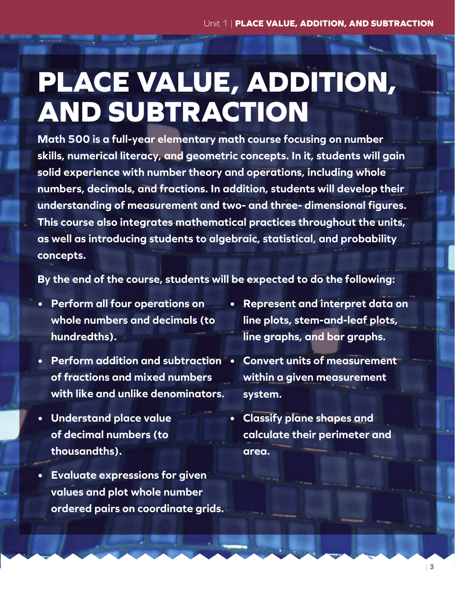# **PLACE VALUE, ADDITION, AND SUBTRACTION**

**Math 500 is a full-year elementary math course focusing on number skills, numerical literacy, and geometric concepts. In it, students will gain solid experience with number theory and operations, including whole numbers, decimals, and fractions. In addition, students will develop their understanding of measurement and two- and three- dimensional figures. This course also integrates mathematical practices throughout the units, as well as introducing students to algebraic, statistical, and probability concepts.**

**By the end of the course, students will be expected to do the following:** 

- **• Perform all four operations on whole numbers and decimals (to hundredths).**
- **• Perform addition and subtraction of fractions and mixed numbers with like and unlike denominators.**
- **• Understand place value of decimal numbers (to thousandths).**
- **• Evaluate expressions for given values and plot whole number ordered pairs on coordinate grids.**
- **• Represent and interpret data on line plots, stem-and-leaf plots, line graphs, and bar graphs.**
- **• Convert units of measurement within a given measurement system.**
- **• Classify plane shapes and calculate their perimeter and area.**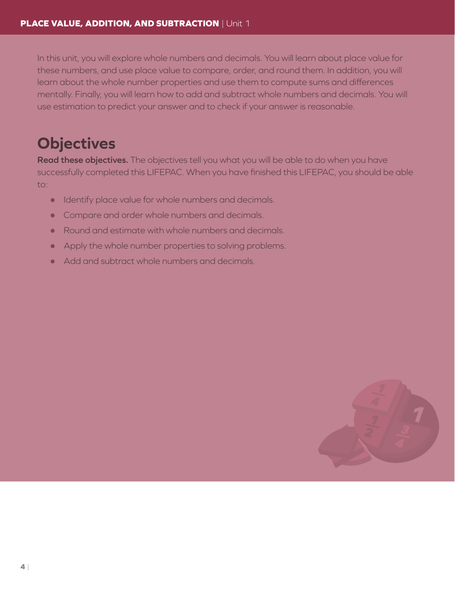In this unit, you will explore whole numbers and decimals. You will learn about place value for these numbers, and use place value to compare, order, and round them. In addition, you will learn about the whole number properties and use them to compute sums and differences mentally. Finally, you will learn how to add and subtract whole numbers and decimals. You will use estimation to predict your answer and to check if your answer is reasonable.

# **Objectives**

**Read these objectives.** The objectives tell you what you will be able to do when you have successfully completed this LIFEPAC. When you have finished this LIFEPAC, you should be able to:

- Identify place value for whole numbers and decimals.
- Compare and order whole numbers and decimals.
- Round and estimate with whole numbers and decimals.
- $\bullet$  Apply the whole number properties to solving problems.
- Add and subtract whole numbers and decimals.

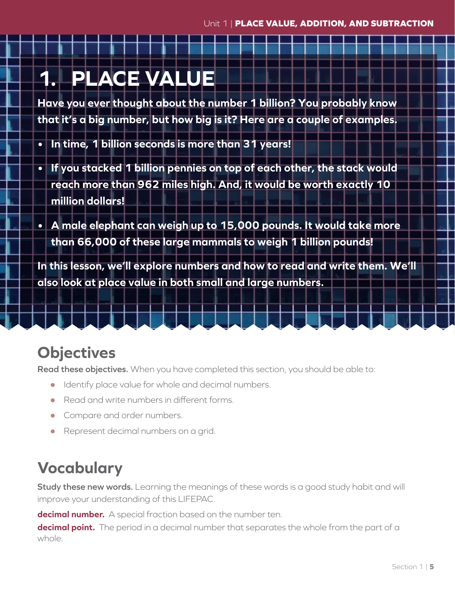# **1. PLACE VALUE**

**Have you ever thought about the number 1 billion? You probably know that it's a big number, but how big is it? Here are a couple of examples.**

- **• In time, 1 billion seconds is more than 31 years!**
- **• If you stacked 1 billion pennies on top of each other, the stack would reach more than 962 miles high. And, it would be worth exactly 10 million dollars!**
- **• A male elephant can weigh up to 15,000 pounds. It would take more than 66,000 of these large mammals to weigh 1 billion pounds!**

**In this lesson, we'll explore numbers and how to read and write them. We'll also look at place value in both small and large numbers.**

# **Objectives**

**Read these objectives.** When you have completed this section, you should be able to:

- Identify place value for whole and decimal numbers.
- $\bullet$  Read and write numbers in different forms.
- Compare and order numbers.
- Represent decimal numbers on a grid.

# **Vocabulary**

**Study these new words.** Learning the meanings of these words is a good study habit and will improve your understanding of this LIFEPAC.

**decimal number.** A special fraction based on the number ten.

**decimal point.** The period in a decimal number that separates the whole from the part of a whole.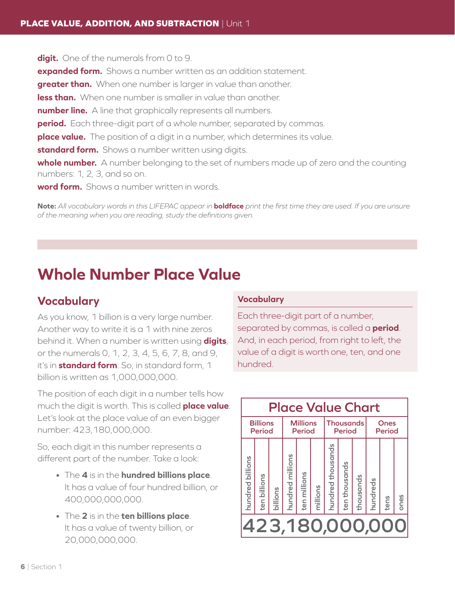**digit.** One of the numerals from 0 to 9. **expanded form.** Shows a number written as an addition statement. **greater than.** When one number is larger in value than another. **less than.** When one number is smaller in value than another. **number line.** A line that graphically represents all numbers. **period.** Each three-digit part of a whole number, separated by commas. **place value.** The position of a digit in a number, which determines its value. **standard form.** Shows a number written using digits. **whole number.** A number belonging to the set of numbers made up of zero and the counting numbers: 1, 2, 3, and so on. **word form.** Shows a number written in words.

**Note:** *All vocabulary words in this LIFEPAC appear in* **boldface** *print the first time they are used. If you are unsure of the meaning when you are reading, study the definitions given.*

# **Whole Number Place Value**

## **Vocabulary**

As you know, 1 billion is a very large number. Another way to write it is a 1 with nine zeros behind it. When a number is written using **digits**, or the numerals 0, 1, 2, 3, 4, 5, 6, 7, 8, and 9, it's in **standard form**. So, in standard form, 1 billion is written as 1,000,000,000.

The position of each digit in a number tells how much the digit is worth. This is called **place value**. Let's look at the place value of an even bigger number: 423,180,000,000.

So, each digit in this number represents a different part of the number. Take a look:

- The **4** is in the **hundred billions place**. It has a value of four hundred billion, or 400,000,000,000.
- The **2** is in the **ten billions place**. It has a value of twenty billion, or 20,000,000,000.

#### **Vocabulary**

Each three-digit part of a number, separated by commas, is called a **period**. And, in each period, from right to left, the value of a digit is worth one, ten, and one hundred.

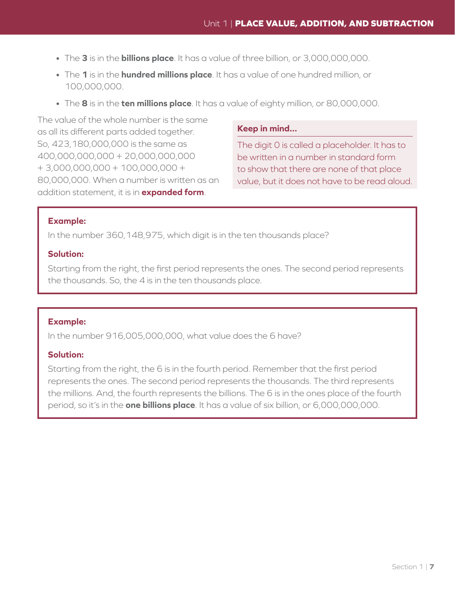- The **3** is in the **billions place**. It has a value of three billion, or 3,000,000,000.
- The **1** is in the **hundred millions place**. It has a value of one hundred million, or 100,000,000.
- The **8** is in the **ten millions place**. It has a value of eighty million, or 80,000,000.

The value of the whole number is the same as all its different parts added together. So, 423,180,000,000 is the same as 400,000,000,000 + 20,000,000,000 + 3,000,000,000 + 100,000,000 + 80,000,000. When a number is written as an addition statement, it is in **expanded form**.

#### **Keep in mind...**

The digit 0 is called a placeholder. It has to be written in a number in standard form to show that there are none of that place value, but it does not have to be read aloud.

#### **Example:**

In the number 360,148,975, which digit is in the ten thousands place?

#### **Solution:**

Starting from the right, the first period represents the ones. The second period represents the thousands. So, the 4 is in the ten thousands place.

#### **Example:**

In the number 916,005,000,000, what value does the 6 have?

#### **Solution:**

Starting from the right, the 6 is in the fourth period. Remember that the first period represents the ones. The second period represents the thousands. The third represents the millions. And, the fourth represents the billions. The 6 is in the ones place of the fourth period, so it's in the **one billions place**. It has a value of six billion, or 6,000,000,000.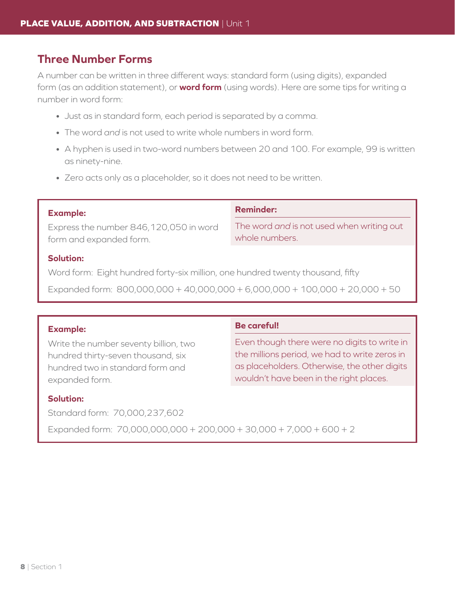## **Three Number Forms**

A number can be written in three different ways: standard form (using digits), expanded form (as an addition statement), or **word form** (using words). Here are some tips for writing a number in word form:

- Just as in standard form, each period is separated by a comma.
- The word *and* is not used to write whole numbers in word form.
- A hyphen is used in two-word numbers between 20 and 100. For example, 99 is written as ninety-nine.
- Zero acts only as a placeholder, so it does not need to be written.

#### **Example:**

Express the number 846,120,050 in word form and expanded form.

#### **Reminder:**

The word *and* is not used when writing out whole numbers.

#### **Solution:**

Word form: Eight hundred forty-six million, one hundred twenty thousand, fifty

Expanded form:  $800,000,000 + 40,000,000 + 6,000,000 + 100,000 + 20,000 + 50$ 

#### **Example:**

Write the number seventy billion, two hundred thirty-seven thousand, six hundred two in standard form and expanded form.

#### **Be careful!**

Even though there were no digits to write in the millions period, we had to write zeros in as placeholders. Otherwise, the other digits wouldn't have been in the right places.

#### **Solution:**

Standard form: 70,000,237,602

Expanded form:  $70,000,000,000 + 200,000 + 30,000 + 7,000 + 600 + 2$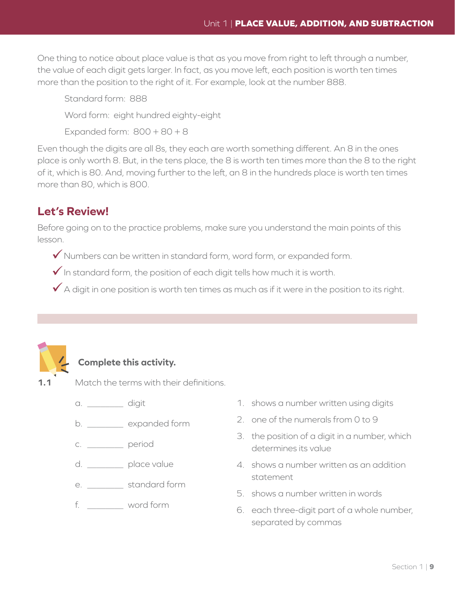One thing to notice about place value is that as you move from right to left through a number, the value of each digit gets larger. In fact, as you move left, each position is worth ten times more than the position to the right of it. For example, look at the number 888.

Standard form: 888

Word form: eight hundred eighty-eight

Expanded form:  $800 + 80 + 8$ 

Even though the digits are all 8s, they each are worth something different. An 8 in the ones place is only worth 8. But, in the tens place, the 8 is worth ten times more than the 8 to the right of it, which is 80. And, moving further to the left, an 8 in the hundreds place is worth ten times more than 80, which is 800.

## **Let's Review!**

Before going on to the practice problems, make sure you understand the main points of this lesson.

- $\checkmark$  Numbers can be written in standard form, word form, or expanded form.
- $\checkmark$  In standard form, the position of each digit tells how much it is worth.
- $\checkmark$  A digit in one position is worth ten times as much as if it were in the position to its right.



## **Complete this activity.**

**1.1** Match the terms with their definitions.

- a. \_\_\_\_\_\_\_\_\_\_ digit
- b. with expanded form
- c. \_\_\_\_\_\_\_\_\_\_ period
- d. \_\_\_\_\_\_\_ place value
- e. \_\_\_\_\_\_\_\_\_ standard form
- f. \_\_\_\_\_\_\_\_ word form
- 1. shows a number written using digits
- 2. one of the numerals from 0 to 9
- 3. the position of a digit in a number, which determines its value
- 4. shows a number written as an addition statement
- 5. shows a number written in words
- 6. each three-digit part of a whole number, separated by commas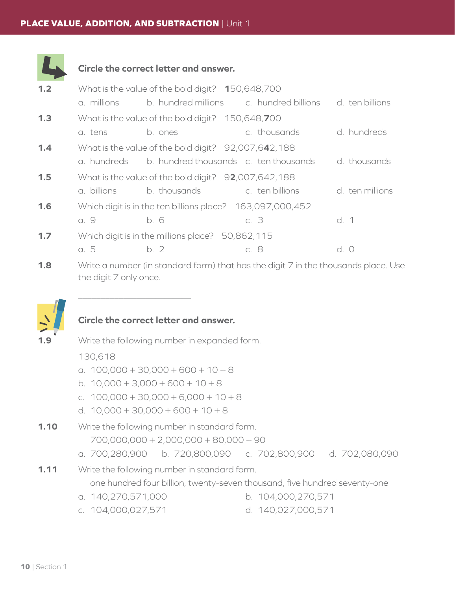

## **Circle the correct letter and answer.**

| 1.2 |                                                  | What is the value of the bold digit? 150,648,700          |                                                                                    |                 |  |
|-----|--------------------------------------------------|-----------------------------------------------------------|------------------------------------------------------------------------------------|-----------------|--|
|     | a. millions                                      |                                                           | b. hundred millions c. hundred billions                                            | d. ten billions |  |
| 1.3 | What is the value of the bold digit? 150,648,700 |                                                           |                                                                                    |                 |  |
|     | a. tens                                          | b. ones                                                   | c. thousands                                                                       | d. hundreds     |  |
| 1.4 |                                                  | What is the value of the bold digit? 92,007,642,188       |                                                                                    |                 |  |
|     | a. hundreds                                      | b. hundred thousands c. ten thousands                     |                                                                                    | d. thousands    |  |
| 1.5 |                                                  | What is the value of the bold digit? 92,007,642,188       |                                                                                    |                 |  |
|     | a. billions                                      | b. thousands                                              | c. ten billions                                                                    | d. ten millions |  |
| 1.6 |                                                  | Which digit is in the ten billions place? 163,097,000,452 |                                                                                    |                 |  |
|     | a. 9                                             | b. 6                                                      | c. 3                                                                               | d. 1            |  |
| 1.7 | Which digit is in the millions place? 50,862,115 |                                                           |                                                                                    |                 |  |
|     | a. 5                                             | b.2                                                       | c. 8                                                                               | d. 0            |  |
| 1.8 |                                                  |                                                           | Write a number (in standard form) that has the digit 7 in the thousands place. Use |                 |  |

the digit 7 only once.



### **Circle the correct letter and answer.**

Write the following number in expanded form.

130,618

 $\overline{\phantom{a}}$ 

- a.  $100,000 + 30,000 + 600 + 10 + 8$
- b.  $10,000 + 3,000 + 600 + 10 + 8$
- c.  $100,000 + 30,000 + 6,000 + 10 + 8$
- d.  $10,000 + 30,000 + 600 + 10 + 8$

**1.10** Write the following number in standard form. 700,000,000 + 2,000,000 + 80,000 + 90

a. 700,280,900 b. 720,800,090 c. 702,800,900 d. 702,080,090

## **1.11** Write the following number in standard form. one hundred four billion, twenty-seven thousand, five hundred seventy-one

- a. 140,270,571,000 b. 104,000,270,571
- c. 104,000,027,571 d. 140,027,000,571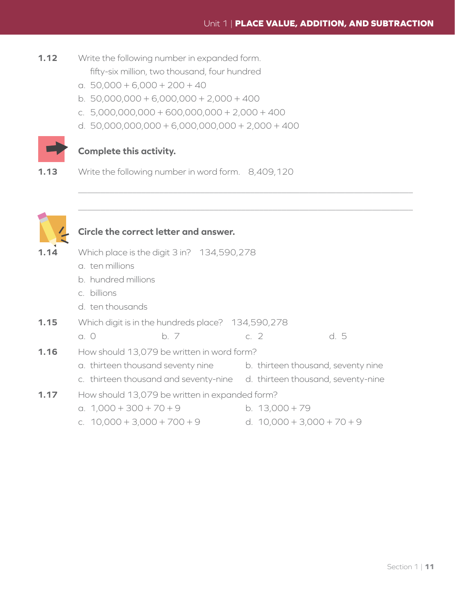- **1.12** Write the following number in expanded form. fifty-six million, two thousand, four hundred
	- a.  $50,000 + 6,000 + 200 + 40$
	- b.  $50,000,000 + 6,000,000 + 2,000 + 400$
	- c. 5,000,000,000 + 600,000,000 + 2,000 + 400
	- d. 50,000,000,000 + 6,000,000,000 + 2,000 + 400



## **Complete this activity.**

**1.13** Write the following number in word form. 8,409,120



 $\overline{\phantom{a}}$ 

 $\overline{\phantom{a}}$ 

## **Circle the correct letter and answer.**

| 1.14 | Which place is the digit 3 in? 134,590,278        |      |                                    |      |  |
|------|---------------------------------------------------|------|------------------------------------|------|--|
|      | a. ten millions                                   |      |                                    |      |  |
|      | b. hundred millions                               |      |                                    |      |  |
|      | c. billions                                       |      |                                    |      |  |
|      | d. ten thousands                                  |      |                                    |      |  |
| 1.15 | Which digit is in the hundreds place? 134,590,278 |      |                                    |      |  |
|      | $a.$ $O$                                          | b. 7 | c. $2$                             | d. 5 |  |
| 1.16 | How should 13,079 be written in word form?        |      |                                    |      |  |
|      | a. thirteen thousand seventy nine                 |      | b. thirteen thousand, seventy nine |      |  |
|      | c. thirteen thousand and seventy-nine             |      | d. thirteen thousand, seventy-nine |      |  |
| 1.17 | How should 13,079 be written in expanded form?    |      |                                    |      |  |
|      | a. $1,000 + 300 + 70 + 9$                         |      | b. $13,000 + 79$                   |      |  |
|      | c. $10,000 + 3,000 + 700 + 9$                     |      | d. $10,000 + 3,000 + 70 + 9$       |      |  |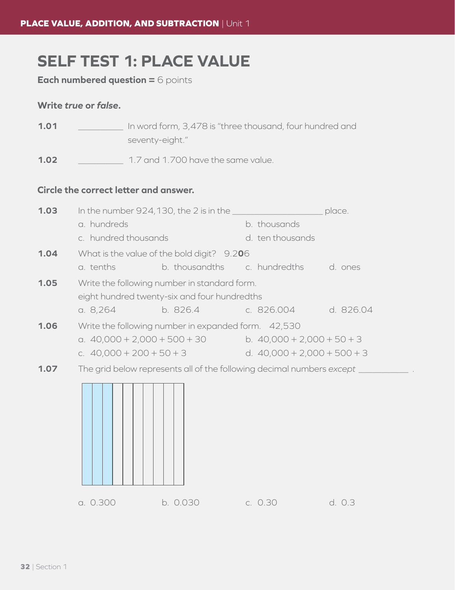# **SELF TEST 1: PLACE VALUE**

**Each numbered question = 6 points** 

#### **Write** *true* **or** *false***.**

| 1.01 |  | In word form, 3,478 is "three thousand, four hundred and |
|------|--|----------------------------------------------------------|
|      |  | seventy-eight."                                          |

**1.02** *\_\_\_\_\_\_\_\_\_* 1.7 and 1.700 have the same value.

## **Circle the correct letter and answer.**

| 1.03 | In the number $924,130$ , the 2 is in the $\frac{1}{2}$                 |                                                     |                              | place.                        |           |  |
|------|-------------------------------------------------------------------------|-----------------------------------------------------|------------------------------|-------------------------------|-----------|--|
|      | a. hundreds                                                             |                                                     |                              | b. thousands                  |           |  |
|      | c. hundred thousands                                                    |                                                     |                              | d. ten thousands              |           |  |
| 1.04 | What is the value of the bold digit? 9.206                              |                                                     |                              |                               |           |  |
|      | a. tenths                                                               | b. thousandths c. hundredths d. ones                |                              |                               |           |  |
| 1.05 | Write the following number in standard form.                            |                                                     |                              |                               |           |  |
|      |                                                                         | eight hundred twenty-six and four hundredths        |                              |                               |           |  |
|      | a. 8,264                                                                | b. 826.4 c. 826.004                                 |                              |                               | d. 826.04 |  |
| 1.06 |                                                                         | Write the following number in expanded form. 42,530 |                              |                               |           |  |
|      | a. $40,000 + 2,000 + 500 + 30$                                          |                                                     | b. $40,000 + 2,000 + 50 + 3$ |                               |           |  |
|      | c. $40,000 + 200 + 50 + 3$                                              |                                                     |                              | d. $40,000 + 2,000 + 500 + 3$ |           |  |
| 1.07 | The grid below represents all of the following decimal numbers except _ |                                                     |                              |                               |           |  |
|      |                                                                         |                                                     |                              |                               |           |  |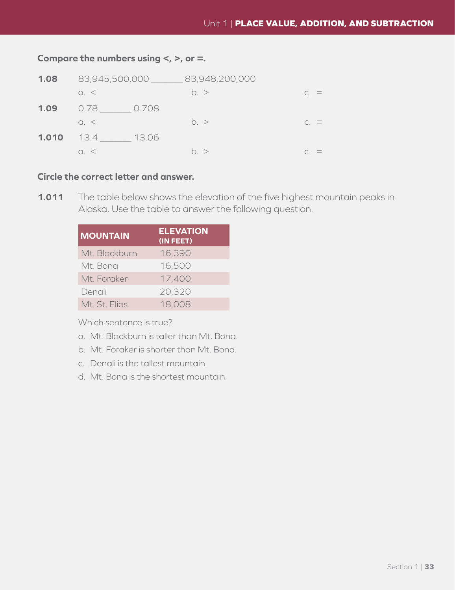## **Compare the numbers using <, >, or =.**

| 1.08  | 83,945,500,000    | 83,948,200,000 |                 |
|-------|-------------------|----------------|-----------------|
|       | $\alpha$ . $\leq$ | h >            | $C_{1} =$       |
| 1.09  | 0.708<br>0.78     |                |                 |
|       | $Q_{\alpha} <$    | h >            | $C_{\cdot} =$   |
| 1.010 | 13.06<br>13.4     |                |                 |
|       | $\cap$ $\leq$     | h >            | $\cap$ $\equiv$ |

#### **Circle the correct letter and answer.**

**1.011** The table below shows the elevation of the five highest mountain peaks in Alaska. Use the table to answer the following question.

| <b>MOUNTAIN</b> | <b>ELEVATION</b><br>(IN FEET) |
|-----------------|-------------------------------|
| Mt. Blackburn   | 16,390                        |
| Mt. Bona        | 16,500                        |
| Mt. Foraker     | 17,400                        |
| Denali          | 20,320                        |
| Mt. St. Elias   | 18,008                        |

Which sentence is true?

- a. Mt. Blackburn is taller than Mt. Bona.
- b. Mt. Foraker is shorter than Mt. Bona.
- c. Denali is the tallest mountain.
- d. Mt. Bona is the shortest mountain.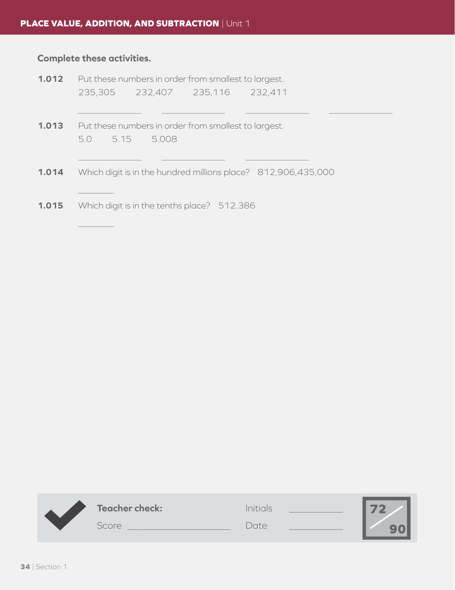## **Complete these activities.**

|       |                                                      |  |                                             | <b>1.012</b> Put these numbers in order from smallest to largest. |  |  |
|-------|------------------------------------------------------|--|---------------------------------------------|-------------------------------------------------------------------|--|--|
|       |                                                      |  | 235,305 232,407 235,116 232,411             |                                                                   |  |  |
|       |                                                      |  |                                             |                                                                   |  |  |
| 1.013 | Put these numbers in order from smallest to largest. |  |                                             |                                                                   |  |  |
|       | 5.0 5.15 5.008                                       |  |                                             |                                                                   |  |  |
|       |                                                      |  |                                             |                                                                   |  |  |
| 1.014 |                                                      |  |                                             | Which digit is in the hundred millions place? 812,906,435,000     |  |  |
|       |                                                      |  |                                             |                                                                   |  |  |
| 1.015 |                                                      |  | Which digit is in the tenths place? 512.386 |                                                                   |  |  |
|       |                                                      |  |                                             |                                                                   |  |  |